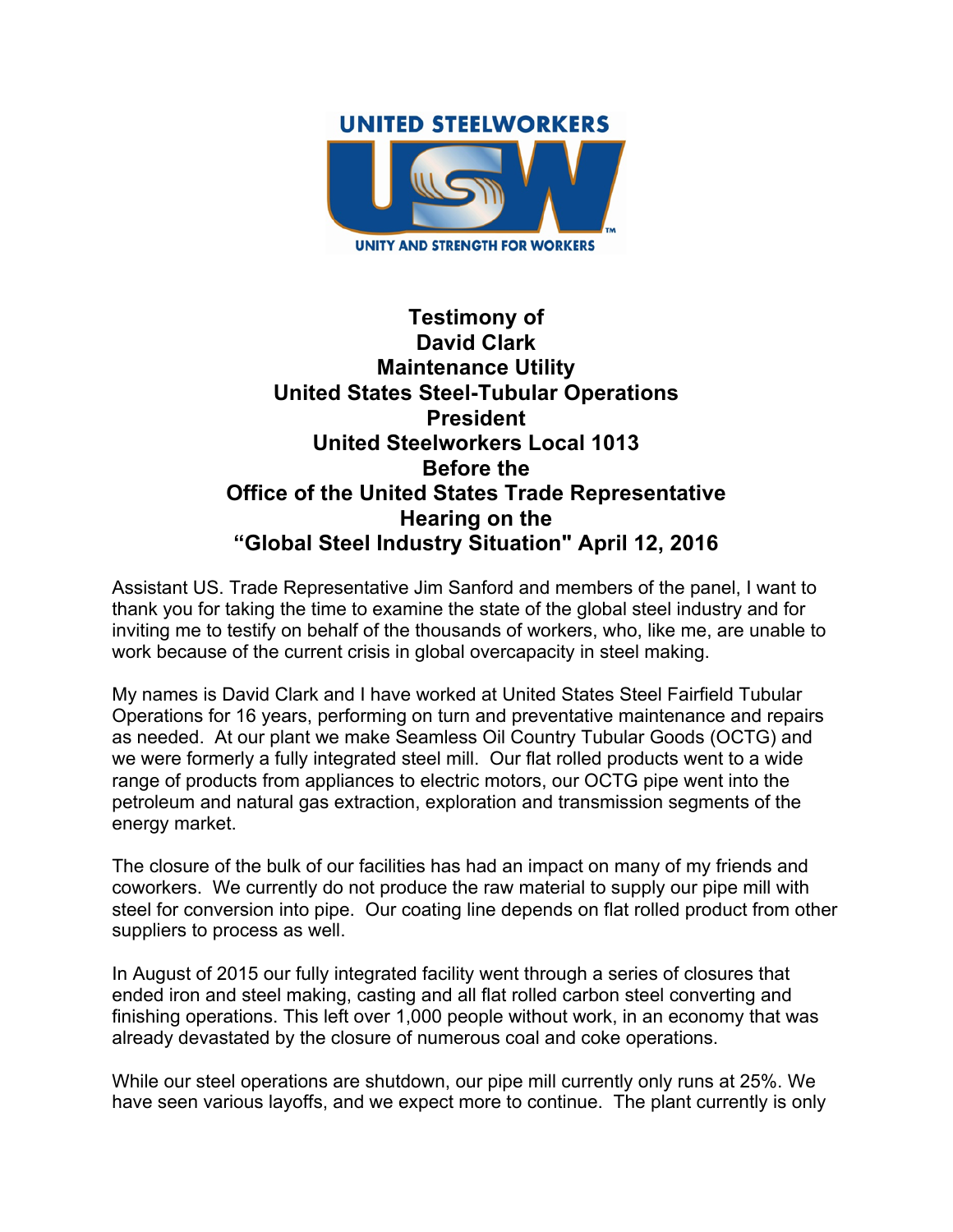

## **Testimony of David Clark Maintenance Utility United States Steel-Tubular Operations President United Steelworkers Local 1013 Before the Office of the United States Trade Representative Hearing on the "Global Steel Industry Situation" April 12, 2016**

Assistant US. Trade Representative Jim Sanford and members of the panel, I want to thank you for taking the time to examine the state of the global steel industry and for inviting me to testify on behalf of the thousands of workers, who, like me, are unable to work because of the current crisis in global overcapacity in steel making.

My names is David Clark and I have worked at United States Steel Fairfield Tubular Operations for 16 years, performing on turn and preventative maintenance and repairs as needed. At our plant we make Seamless Oil Country Tubular Goods (OCTG) and we were formerly a fully integrated steel mill. Our flat rolled products went to a wide range of products from appliances to electric motors, our OCTG pipe went into the petroleum and natural gas extraction, exploration and transmission segments of the energy market.

The closure of the bulk of our facilities has had an impact on many of my friends and coworkers. We currently do not produce the raw material to supply our pipe mill with steel for conversion into pipe. Our coating line depends on flat rolled product from other suppliers to process as well.

In August of 2015 our fully integrated facility went through a series of closures that ended iron and steel making, casting and all flat rolled carbon steel converting and finishing operations. This left over 1,000 people without work, in an economy that was already devastated by the closure of numerous coal and coke operations.

While our steel operations are shutdown, our pipe mill currently only runs at 25%. We have seen various layoffs, and we expect more to continue. The plant currently is only